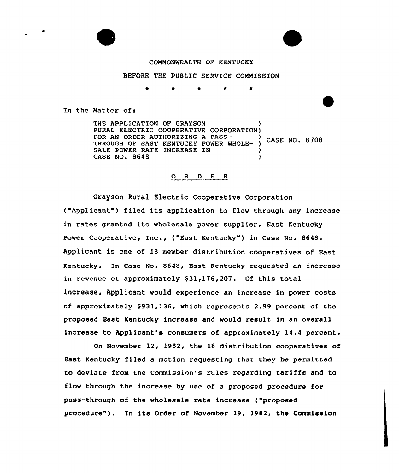## COMMONWEALTH OF KENTUCKY

## BEFORE THE PUBLIC SERVICE COMMISSION

In the Matter of:

THE APPLICATION OF GRAYSON RURAL ELECTRIC COOPERATIVE CORPORATION)<br>FOR AN ORDER AUTHORIZING A PASS-FOR AN ORDER AUTHORIZING A PASS-<br>THROUGH OF EAST KENTUCKY POWER WHOLE- ) CASE NO. 8708 SALE POWER RATE INCREASE IN CASE NO. 8648

# 0 <sup>R</sup> <sup>D</sup> <sup>E</sup> <sup>R</sup>

Grayson Rural Electric Cooperative Corporation ("Applicant") filed its application to flow through any increase in rates granted its wholesale power supplier, East Kentucky Power Cooperative, Inc., ("East Kentucky") in Case No. 8648. Applicant is one of 18 member distribution cooperatives of East Kentucky. Xn Case No. 8648, Bast Kentucky requested an increase in revenue of approximately  $$31,176,207$ . Of this total increase, Applicant would experience an increase in power costs of approximately \$931,136, which represents 2.99 percent of the proposed East Kentucky increase and would result in an overall increase to Applicant's consumers of approximately 14.4 percent.

On November 12, 1982< the 18 distribution cooperatives of East Kentucky filed a motion requesting that they be permitted to deviate from the Commission's rules regarding tariffs and to flow through the increase by use of a proposed procedure for pass-through of the wholesale rate increase {"proposed procedure"). In its Order of November 19, 1982, the Commission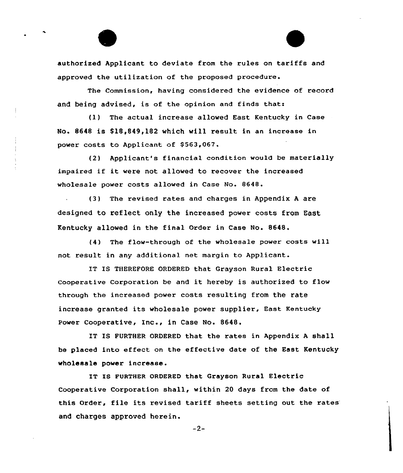authorized Applicant to deviate from the rules on tariffs and approved the utilization of the proposed procedure.

The Commission, having considered the evidence of record and being advised, is of the opinion and finds that:

(1) The actual increase allowed East Kentucky in Case No. 8648 is \$18,849,182 which will result in an increase in power costs to Applicant of \$563,067.

(2) Applicant's financial condition would be materially impaired if it were not allowed to recover the increased wholesale power costs allowed in Case No. 8648.

(3) The revised rates and charges in Appendix <sup>A</sup> are designed to reflect only the increased power costs from East. Kentucky allowed in the final Order in Case No. 8648.

(4) The flow-through of the wholesale power costs will not result in any additional net margin to Applicant.

IT IS THEREFORE ORDERED that Grayson Rural Electric Cooperative Corporation be and it hereby is authorized to flow through the increased power costs resulting from the rate increase granted its wholesale power supplier, East Kentucky Power Cooperative, Inc., in Case No. 8648.

IT IS FURTHER ORDERED that the rates in Appendix <sup>A</sup> shall he placed into effect on the effective date of the East Kentucky wholesale power increase.

IT IS FURTHER ORDERED that Grayson Rural Electric Cooperative Corporation shall, within 20 days from the date of this Order, file its revised tariff sheets setting out the rates' and charges approved herein.

 $-2-$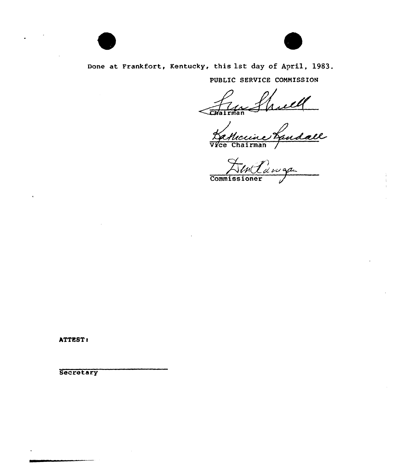



Done at Franktort, Kentucky, this 1st day of April, 1983.

PUBLIC SERVICE COMNISSION

man

Vice Chairman /

Flut<br>Commissioner Lawg

ATTEST:

**Secretary**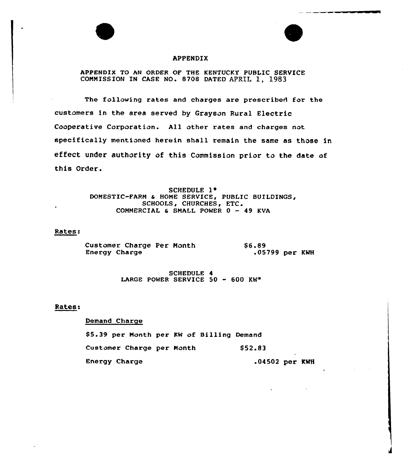

APPENDIX TO AN ORDER OF THE KENTUCKY PUBLIC SERVICE COMMISSION IN CASE NO. 8708 DATED APRIL 1, 1983

The following rates and charges are prescribed for the customers in the area served by Grayson Rural Electric Cooperative Corporation. All other rates and charges not specifically mentioned herein shall remain the same as those in effect under authority of this Commission prior to the date of this Order.

> SCHEDULE 1\* DOMESTIC-FARM & HOME SERVICE, PUBLIC BUILDINGS, SCHOOLS, CHURCHES, ETC. COMMERCIAL  $\epsilon$  SMALL POWER  $0 - 49$  KVA

## Rates:

Customer Charge Per Month Energy Charge 86.89 .05799 per KWH

> SCHEDULE 4 LARGE POWER SERVICE 50 - 600 KW\*

# Rates:

# Demand Charge

85.39 per Month per KW of Billing Demand Customer Charge per Month Energy Charge \$ 52.83 .04502 per KNH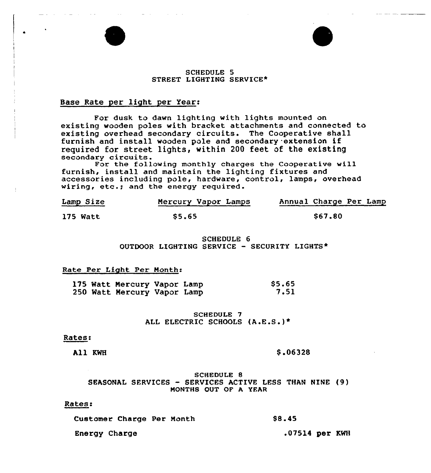#### SCHEDULE 5 STREET LIGHTING SERVICE\*

#### Base Rate per light per Year:

For dusk to dawn lighting with lights mounted on existing wooden poles with bracket attachments and connected to existing overhead secondary circuits. The Cooperative shall furnish and install wooden pole and secondary extension if required for street lights, within 200 feet of the existing secondary circuits.

For the following monthly charges the Cooperative will furnish, install and maintain the lighting fixtures and accessories including pole, hardware, control, lamps, overhead wiring, etc.; and the energy required.

| Lamp Size | Mercury Vapor Lamps | Annual Charge Per Lamp |
|-----------|---------------------|------------------------|
| 175 Watt  | <b>S5.65</b>        | S67.80                 |

SCHEDULE 6 OUTDOOR LIGHTING SERVICE — SECURITY LIGHTS\*

#### Rate Per Light Per Month:

| 250 Watt Mercury Vapor Lamp |  |  | 175 Watt Mercury Vapor Lamp |  |  | \$5.65<br>7.51 |
|-----------------------------|--|--|-----------------------------|--|--|----------------|
|-----------------------------|--|--|-----------------------------|--|--|----------------|

## SCHEDULE 7 ALL ELECTRIC SCHOOLS (A.E.S.)\*

#### Rates:

All KWH  $$.06328$ 

### SCHEDULE 8 SEASONAL SERVICES — SERVICES ACTIVE LESS THAN NINE (9) MONTHS OUT OF A YEAR

#### Rates:

| Customer Charge Per Month | <b>S8.45</b>     |  |
|---------------------------|------------------|--|
| Energy Charge             | $.07514$ per KWH |  |